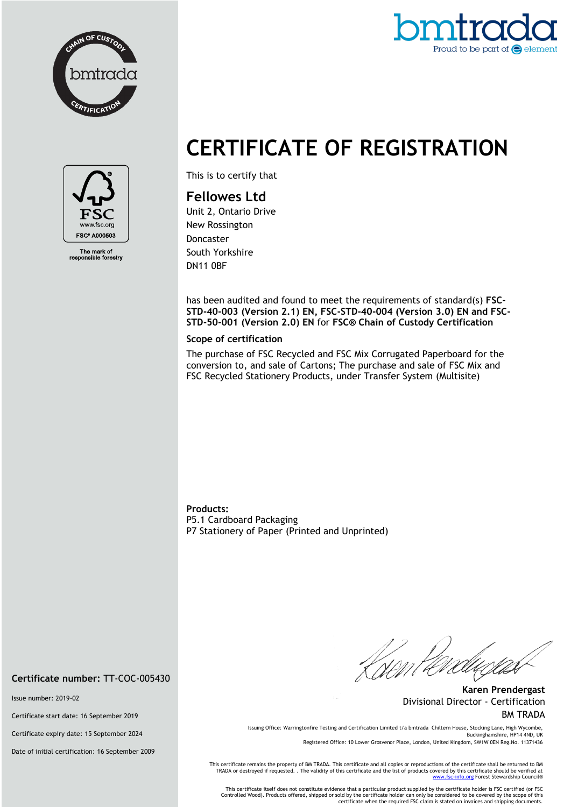



## **CERTIFICATE OF REGISTRATION**



The mark of<br>ponsible forestry

This is to certify that

## **Fellowes Ltd**

Unit 2, Ontario Drive New Rossington Doncaster South Yorkshire DN11 0BF

has been audited and found to meet the requirements of standard(s) **FSC-STD-40-003 (Version 2.1) EN, FSC-STD-40-004 (Version 3.0) EN and FSC-STD-50-001 (Version 2.0) EN** for **FSC® Chain of Custody Certification**

## **Scope of certification**

The purchase of FSC Recycled and FSC Mix Corrugated Paperboard for the conversion to, and sale of Cartons; The purchase and sale of FSC Mix and FSC Recycled Stationery Products, under Transfer System (Multisite)

**Products:**  P5.1 Cardboard Packaging P7 Stationery of Paper (Printed and Unprinted)

//<br>Nom Fa

**Karen Prendergast** Divisional Director - Certification BM TRADA

Issuing Office: Warringtonfire Testing and Certification Limited t/a bmtrada Chiltern House, Stocking Lane, High Wycombe, Buckinghamshire, HP14 4ND, UK

Registered Office: 10 Lower Grosvenor Place, London, United Kingdom, SW1W 0EN Reg.No. 11371436

This certificate remains the property of BM TRADA. This certificate and all copies or reproductions of the certificate shall be returned to BM TRADA or destroyed if requested. . The validity of this certificate and the list of products covered by this certificate should be verified at<br>www.f<u>sc-info.org</u> Forest Stewardship Council®

This certificate itself does not constitute evidence that a particular product supplied by the certificate holder is FSC certified (or FSC<br>Controlled Wood). Products offered, shipped or sold by the certificate holder can o certificate when the required FSC claim is stated on invoices and shipping documents.

**Certificate number:** TT-COC-005430

Issue number: 2019-02

Certificate start date: 16 September 2019

Certificate expiry date: 15 September 2024

Date of initial certification: 16 September 2009